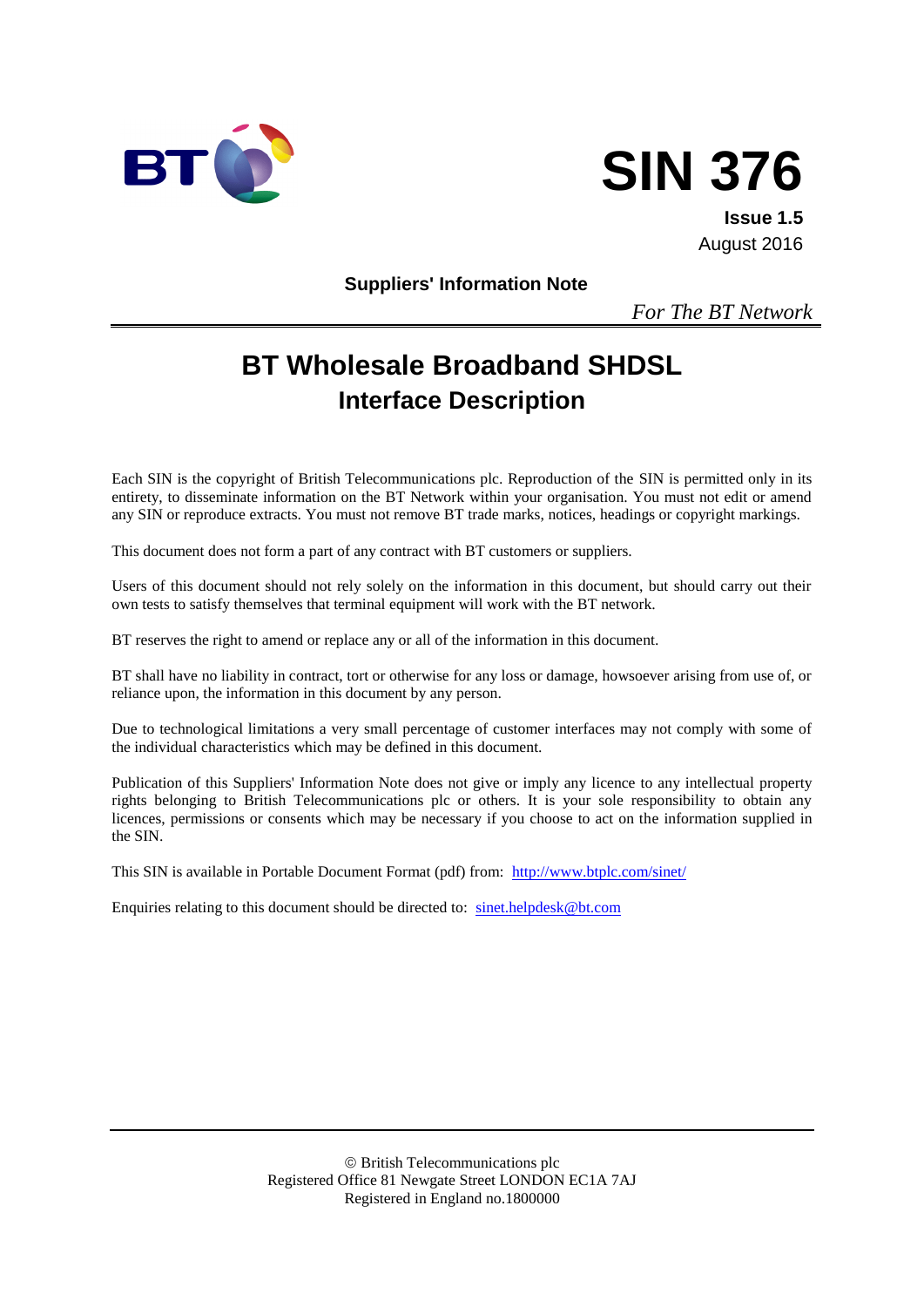



**Issue 1.5** August 2016

**Suppliers' Information Note**

*For The BT Network*

# **BT Wholesale Broadband SHDSL Interface Description**

Each SIN is the copyright of British Telecommunications plc. Reproduction of the SIN is permitted only in its entirety, to disseminate information on the BT Network within your organisation. You must not edit or amend any SIN or reproduce extracts. You must not remove BT trade marks, notices, headings or copyright markings.

This document does not form a part of any contract with BT customers or suppliers.

Users of this document should not rely solely on the information in this document, but should carry out their own tests to satisfy themselves that terminal equipment will work with the BT network.

BT reserves the right to amend or replace any or all of the information in this document.

BT shall have no liability in contract, tort or otherwise for any loss or damage, howsoever arising from use of, or reliance upon, the information in this document by any person.

Due to technological limitations a very small percentage of customer interfaces may not comply with some of the individual characteristics which may be defined in this document.

Publication of this Suppliers' Information Note does not give or imply any licence to any intellectual property rights belonging to British Telecommunications plc or others. It is your sole responsibility to obtain any licences, permissions or consents which may be necessary if you choose to act on the information supplied in the SIN.

This SIN is available in Portable Document Format (pdf) from: <http://www.btplc.com/sinet/>

Enquiries relating to this document should be directed to: [sinet.helpdesk@bt.com](mailto:sinet.helpdesk@bt.com)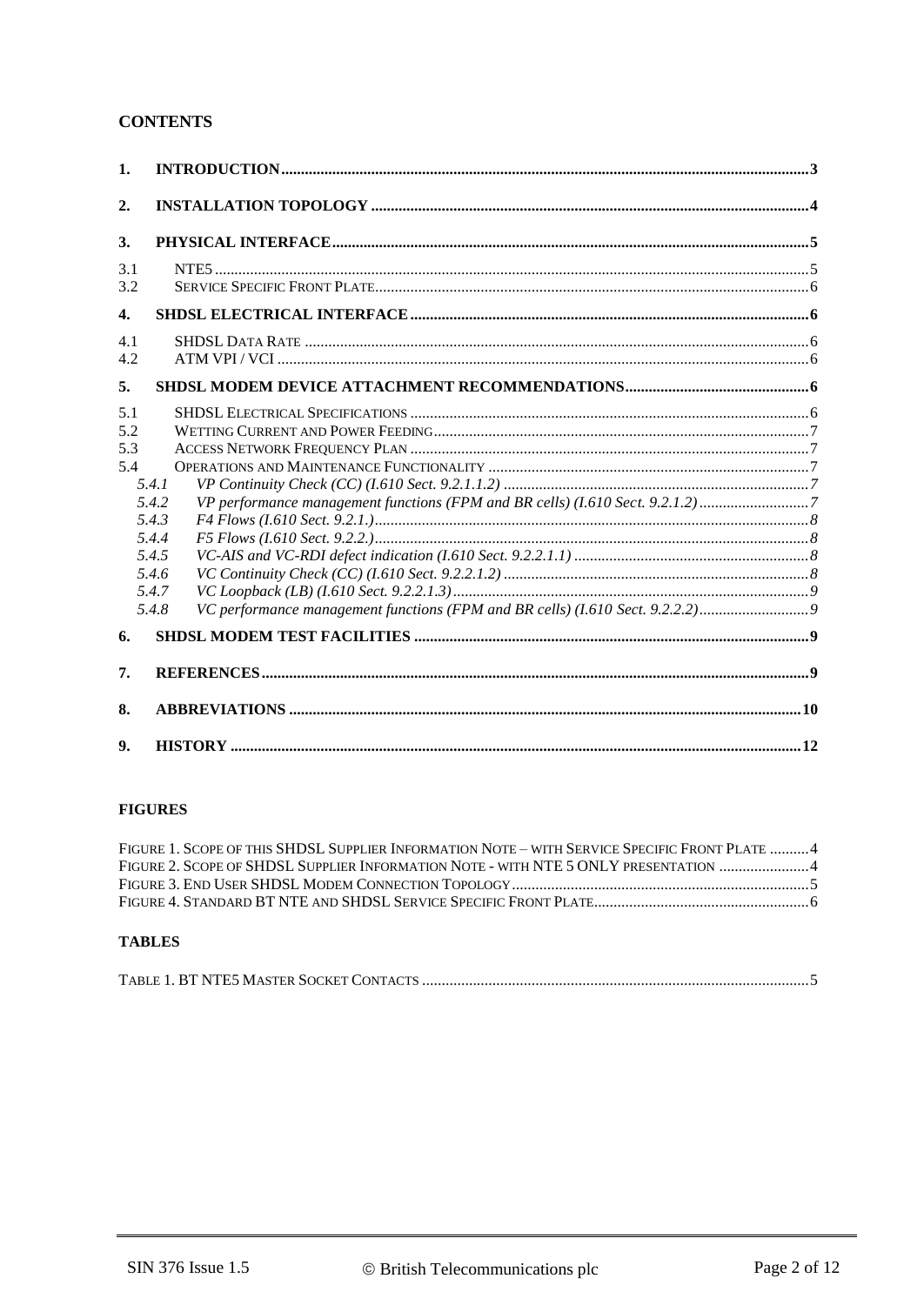### **CONTENTS**

| 1.                       |                                                                      |  |  |
|--------------------------|----------------------------------------------------------------------|--|--|
| 2.                       |                                                                      |  |  |
| 3.                       |                                                                      |  |  |
| 3.1<br>3.2               |                                                                      |  |  |
| $\boldsymbol{4}$ .       |                                                                      |  |  |
| 4.1<br>4.2               |                                                                      |  |  |
| 5.                       |                                                                      |  |  |
| 5.1<br>5.2<br>5.3<br>5.4 | 5.4.1<br>5.4.2<br>5.4.3<br>5.4.4<br>5.4.5<br>5.4.6<br>5.4.7<br>5.4.8 |  |  |
| 6.                       |                                                                      |  |  |
| 7.                       |                                                                      |  |  |
| 8.                       |                                                                      |  |  |
| 9.                       |                                                                      |  |  |

#### **FIGURES**

| FIGURE 1. SCOPE OF THIS SHDSL SUPPLIER INFORMATION NOTE – WITH SERVICE SPECIFIC FRONT PLATE 4 |  |
|-----------------------------------------------------------------------------------------------|--|
| FIGURE 2. SCOPE OF SHDSL SUPPLIER INFORMATION NOTE - WITH NTE 5 ONLY PRESENTATION 4           |  |
|                                                                                               |  |
|                                                                                               |  |
|                                                                                               |  |

#### **TABLES**

|--|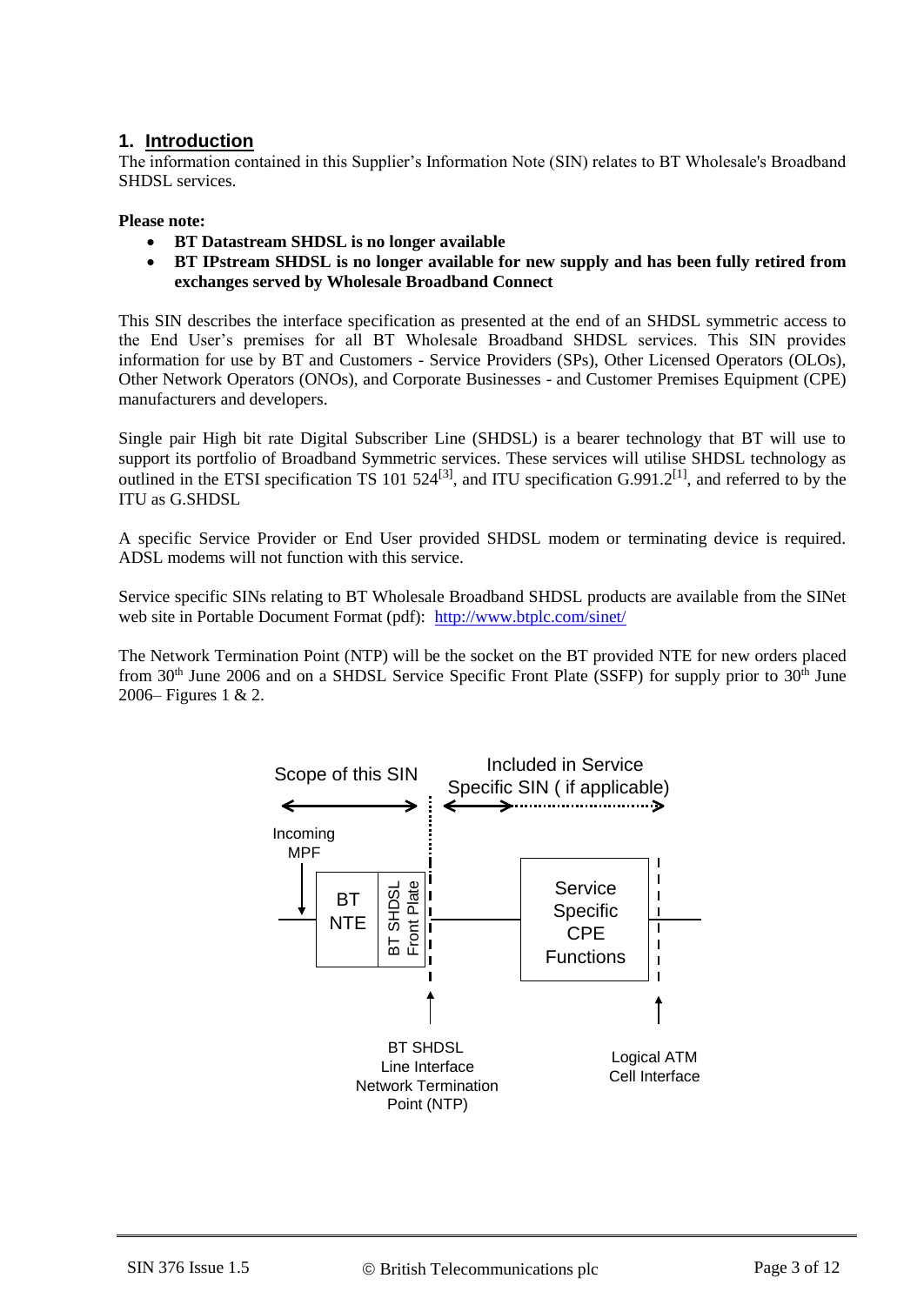#### **1. Introduction**

The information contained in this Supplier's Information Note (SIN) relates to BT Wholesale's Broadband SHDSL services.

**Please note:** 

- **BT Datastream SHDSL is no longer available**
- **BT IPstream SHDSL is no longer available for new supply and has been fully retired from exchanges served by Wholesale Broadband Connect**

This SIN describes the interface specification as presented at the end of an SHDSL symmetric access to the End User's premises for all BT Wholesale Broadband SHDSL services. This SIN provides information for use by BT and Customers - Service Providers (SPs), Other Licensed Operators (OLOs), Other Network Operators (ONOs), and Corporate Businesses - and Customer Premises Equipment (CPE) manufacturers and developers.

Single pair High bit rate Digital Subscriber Line (SHDSL) is a bearer technology that BT will use to support its portfolio of Broadband Symmetric services. These services will utilise SHDSL technology as outlined in the ETSI specification TS 101 524<sup>[\[3\]](#page-8-0)</sup>, and ITU specification  $G.991.2^{[1]}$  $G.991.2^{[1]}$  $G.991.2^{[1]}$ , and referred to by the ITU as G.SHDSL

A specific Service Provider or End User provided SHDSL modem or terminating device is required. ADSL modems will not function with this service.

Service specific SINs relating to BT Wholesale Broadband SHDSL products are available from the SINet web site in Portable Document Format (pdf): <http://www.btplc.com/sinet/>

The Network Termination Point (NTP) will be the socket on the BT provided NTE for new orders placed from  $30<sup>th</sup>$  June 2006 and on a SHDSL Service Specific Front Plate (SSFP) for supply prior to  $30<sup>th</sup>$  June 2006– Figures 1 & 2.

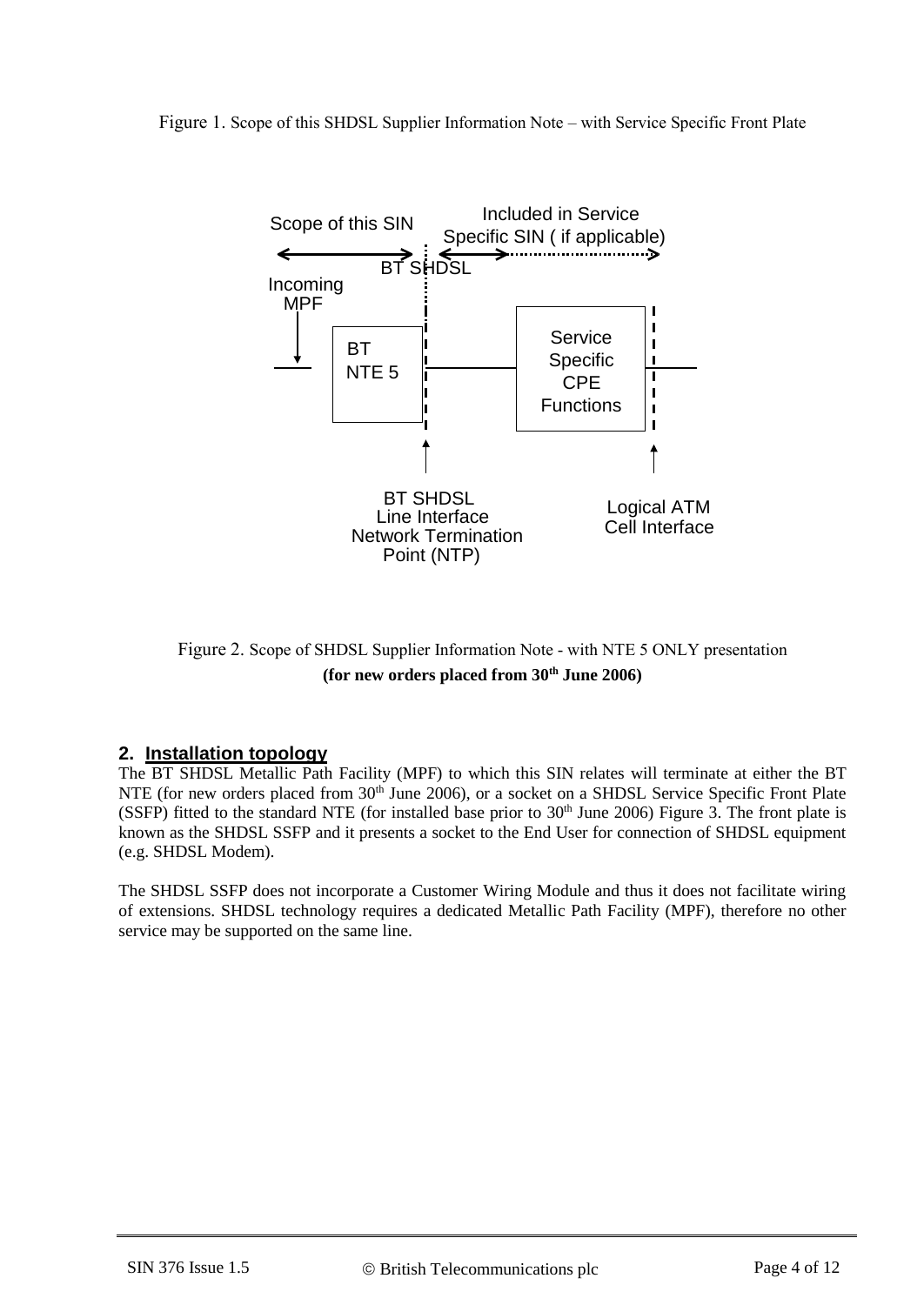#### Figure 1. Scope of this SHDSL Supplier Information Note – with Service Specific Front Plate



Figure 2. Scope of SHDSL Supplier Information Note - with NTE 5 ONLY presentation **(for new orders placed from 30th June 2006)** 

#### **2. Installation topology**

The BT SHDSL Metallic Path Facility (MPF) to which this SIN relates will terminate at either the BT NTE (for new orders placed from 30<sup>th</sup> June 2006), or a socket on a SHDSL Service Specific Front Plate (SSFP) fitted to the standard NTE (for installed base prior to  $30<sup>th</sup>$  June 2006) Figure 3. The front plate is known as the SHDSL SSFP and it presents a socket to the End User for connection of SHDSL equipment (e.g. SHDSL Modem).

The SHDSL SSFP does not incorporate a Customer Wiring Module and thus it does not facilitate wiring of extensions. SHDSL technology requires a dedicated Metallic Path Facility (MPF), therefore no other service may be supported on the same line.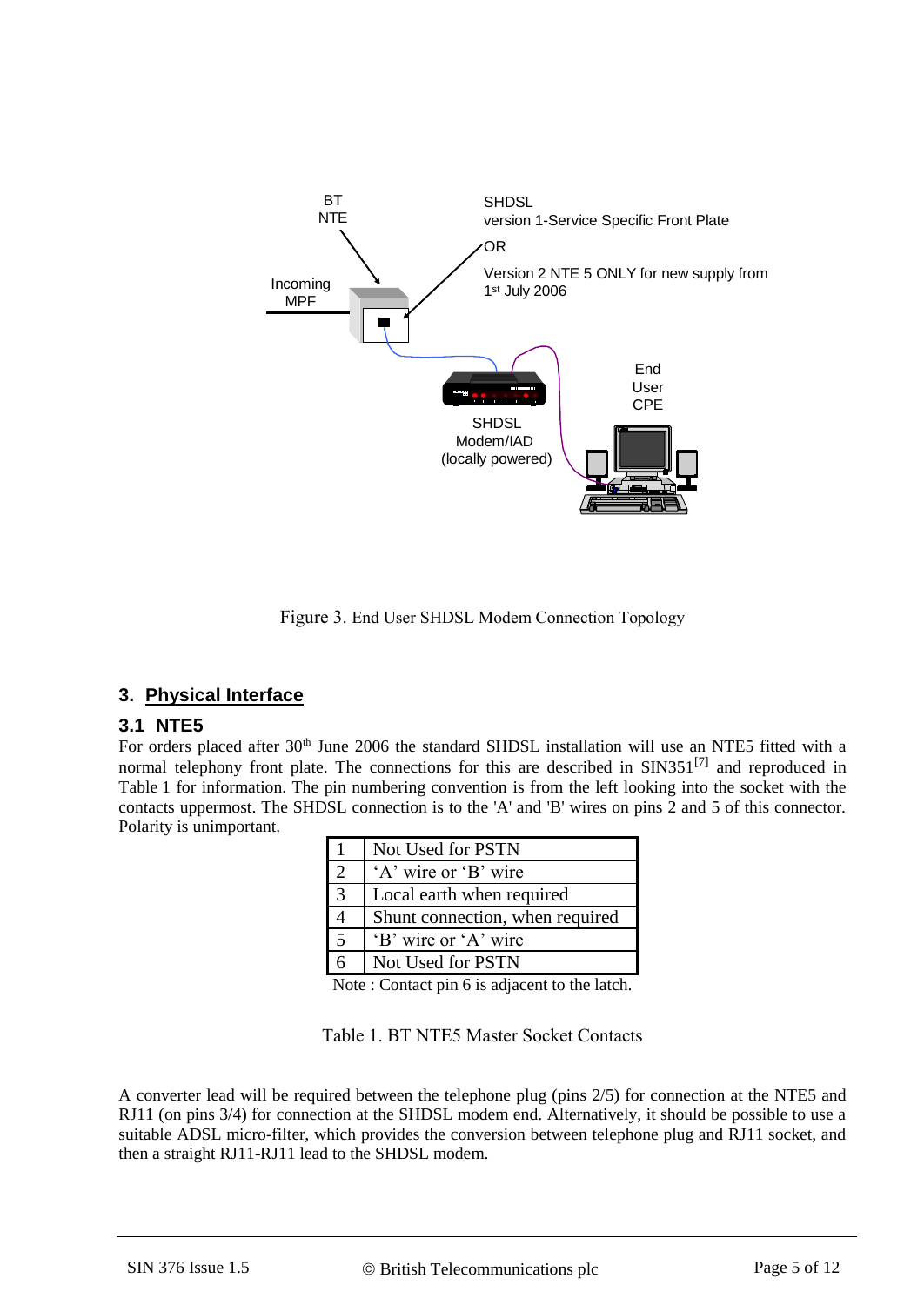

Figure 3. End User SHDSL Modem Connection Topology

# **3. Physical Interface**

#### **3.1 NTE5**

For orders placed after 30<sup>th</sup> June 2006 the standard SHDSL installation will use an NTE5 fitted with a normal telephony front plate. The connections for this are described in SIN351<sup>[\[7\]](#page-8-2)</sup> and reproduced in Table 1 for information. The pin numbering convention is from the left looking into the socket with the contacts uppermost. The SHDSL connection is to the 'A' and 'B' wires on pins 2 and 5 of this connector. Polarity is unimportant.

|               | Not Used for PSTN               |
|---------------|---------------------------------|
|               | 'A' wire or 'B' wire            |
| $\mathcal{E}$ | Local earth when required       |
|               | Shunt connection, when required |
| 5             | 'B' wire or 'A' wire            |
|               | Not Used for PSTN               |

Note : Contact pin 6 is adjacent to the latch.

Table 1. BT NTE5 Master Socket Contacts

A converter lead will be required between the telephone plug (pins 2/5) for connection at the NTE5 and RJ11 (on pins 3/4) for connection at the SHDSL modem end. Alternatively, it should be possible to use a suitable ADSL micro-filter, which provides the conversion between telephone plug and RJ11 socket, and then a straight RJ11-RJ11 lead to the SHDSL modem.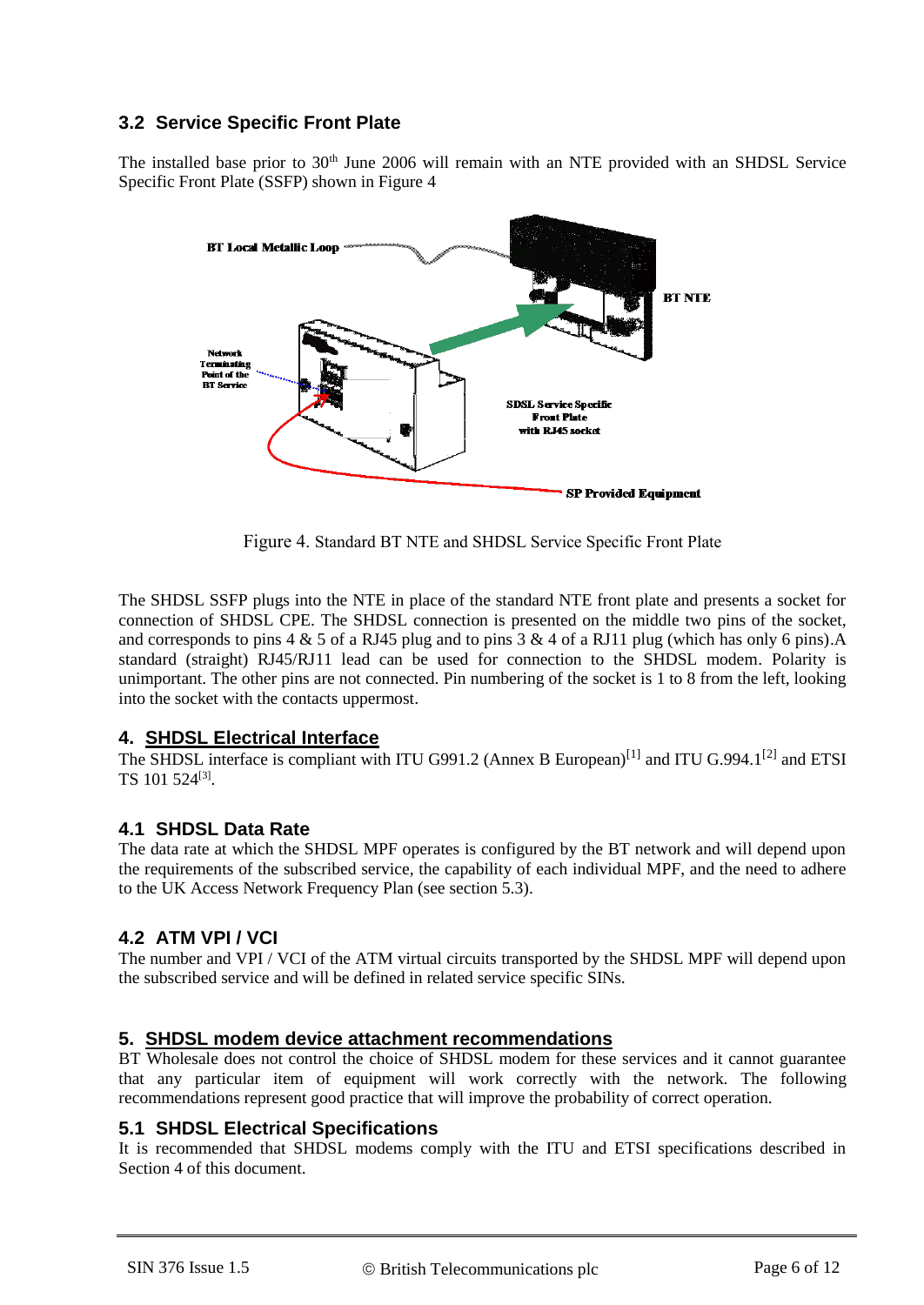# **3.2 Service Specific Front Plate**

The installed base prior to 30<sup>th</sup> June 2006 will remain with an NTE provided with an SHDSL Service Specific Front Plate (SSFP) shown in Figure 4



Figure 4. Standard BT NTE and SHDSL Service Specific Front Plate

The SHDSL SSFP plugs into the NTE in place of the standard NTE front plate and presents a socket for connection of SHDSL CPE. The SHDSL connection is presented on the middle two pins of the socket, and corresponds to pins 4  $&$  5 of a RJ45 plug and to pins 3  $&$  4 of a RJ11 plug (which has only 6 pins).A standard (straight) RJ45/RJ11 lead can be used for connection to the SHDSL modem. Polarity is unimportant. The other pins are not connected. Pin numbering of the socket is 1 to 8 from the left, looking into the socket with the contacts uppermost.

#### **4. SHDSL Electrical Interface**

The SHDSL interface is compliant with ITU G991.2 (Annex B European)<sup>[\[1\]](#page-8-1)</sup> and ITU G.994.1<sup>[\[2\]](#page-8-3)</sup> and ETSI TS 101 524<sup>[3]</sup>.

# **4.1 SHDSL Data Rate**

The data rate at which the SHDSL MPF operates is configured by the BT network and will depend upon the requirements of the subscribed service, the capability of each individual MPF, and the need to adhere to the UK Access Network Frequency Plan (see section 5.3).

# **4.2 ATM VPI / VCI**

The number and VPI / VCI of the ATM virtual circuits transported by the SHDSL MPF will depend upon the subscribed service and will be defined in related service specific SINs.

# **5. SHDSL modem device attachment recommendations**

BT Wholesale does not control the choice of SHDSL modem for these services and it cannot guarantee that any particular item of equipment will work correctly with the network. The following recommendations represent good practice that will improve the probability of correct operation.

#### **5.1 SHDSL Electrical Specifications**

It is recommended that SHDSL modems comply with the ITU and ETSI specifications described in Section 4 of this document.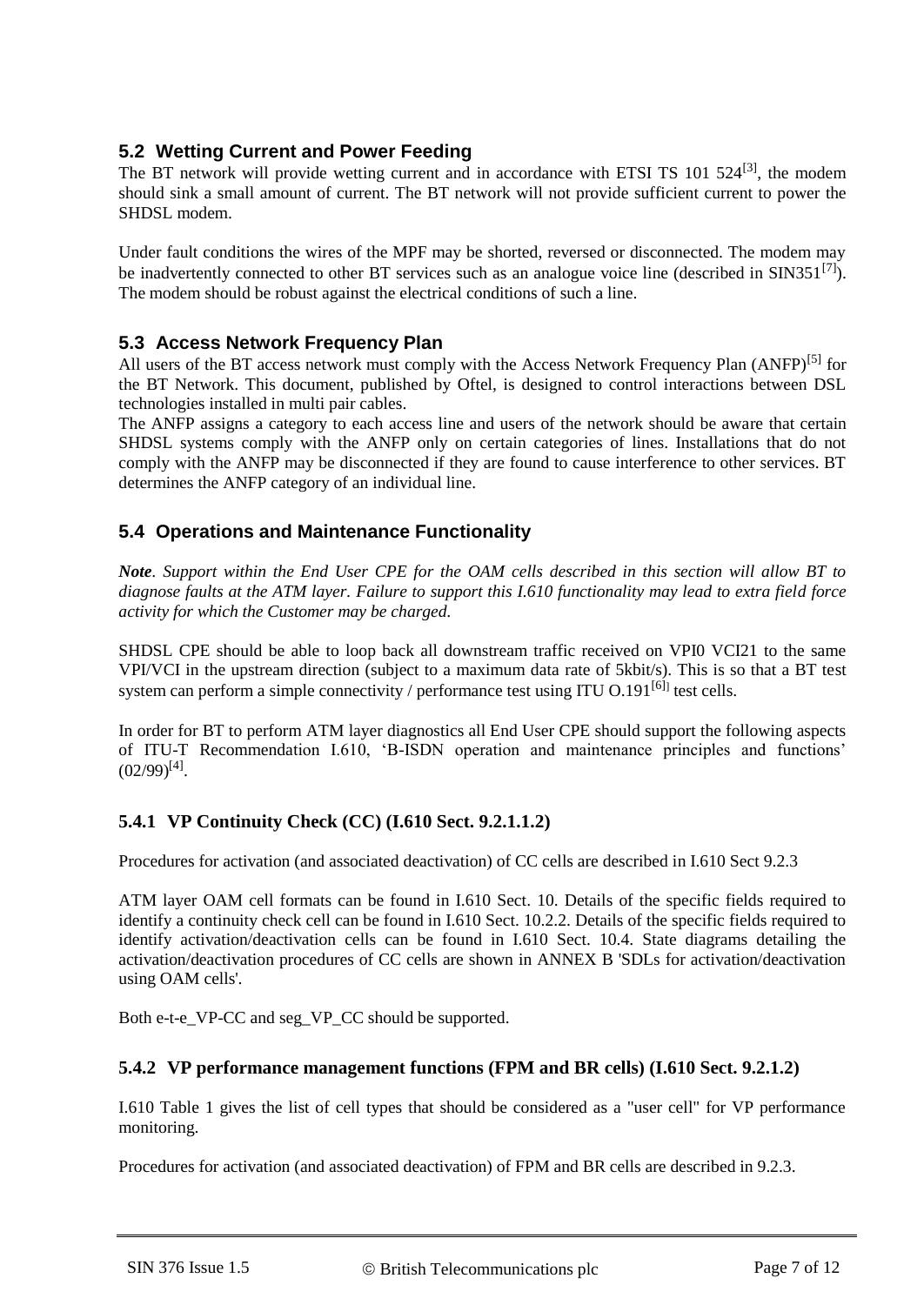# **5.2 Wetting Current and Power Feeding**

The BT network will provide wetting current and in accordance with ETSI TS  $101 524^{[3]}$  $101 524^{[3]}$  $101 524^{[3]}$ , the modem should sink a small amount of current. The BT network will not provide sufficient current to power the SHDSL modem.

Under fault conditions the wires of the MPF may be shorted, reversed or disconnected. The modem may be inadvertently connected to other BT services such as an analogue voice line (described in SIN351<sup>[\[7\]](#page-8-2)</sup>). The modem should be robust against the electrical conditions of such a line.

#### **5.3 Access Network Frequency Plan**

All users of the BT access network must comply with the Access Network Frequency Plan (ANFP)<sup>[\[5\]](#page-8-4)</sup> for the BT Network. This document, published by Oftel, is designed to control interactions between DSL technologies installed in multi pair cables.

The ANFP assigns a category to each access line and users of the network should be aware that certain SHDSL systems comply with the ANFP only on certain categories of lines. Installations that do not comply with the ANFP may be disconnected if they are found to cause interference to other services. BT determines the ANFP category of an individual line.

### **5.4 Operations and Maintenance Functionality**

*Note. Support within the End User CPE for the OAM cells described in this section will allow BT to diagnose faults at the ATM layer. Failure to support this I.610 functionality may lead to extra field force activity for which the Customer may be charged.* 

SHDSL CPE should be able to loop back all downstream traffic received on VPI0 VCI21 to the same VPI/VCI in the upstream direction (subject to a maximum data rate of 5kbit/s). This is so that a BT test system can perform a simple connectivity / performance test using ITU O.191<sup>[\[6\]](#page-8-5)</sup> test cells.

In order for BT to perform ATM layer diagnostics all End User CPE should support the following aspects of ITU-T Recommendation I.610, 'B-ISDN operation and maintenance principles and functions'  $(02/99)^{[4]}$  $(02/99)^{[4]}$  $(02/99)^{[4]}$ .

#### **5.4.1 VP Continuity Check (CC) (I.610 Sect. 9.2.1.1.2)**

Procedures for activation (and associated deactivation) of CC cells are described in I.610 Sect 9.2.3

ATM layer OAM cell formats can be found in I.610 Sect. 10. Details of the specific fields required to identify a continuity check cell can be found in I.610 Sect. 10.2.2. Details of the specific fields required to identify activation/deactivation cells can be found in I.610 Sect. 10.4. State diagrams detailing the activation/deactivation procedures of CC cells are shown in ANNEX B 'SDLs for activation/deactivation using OAM cells'.

Both e-t-e\_VP-CC and seg\_VP\_CC should be supported.

#### **5.4.2 VP performance management functions (FPM and BR cells) (I.610 Sect. 9.2.1.2)**

I.610 Table 1 gives the list of cell types that should be considered as a "user cell" for VP performance monitoring.

Procedures for activation (and associated deactivation) of FPM and BR cells are described in 9.2.3.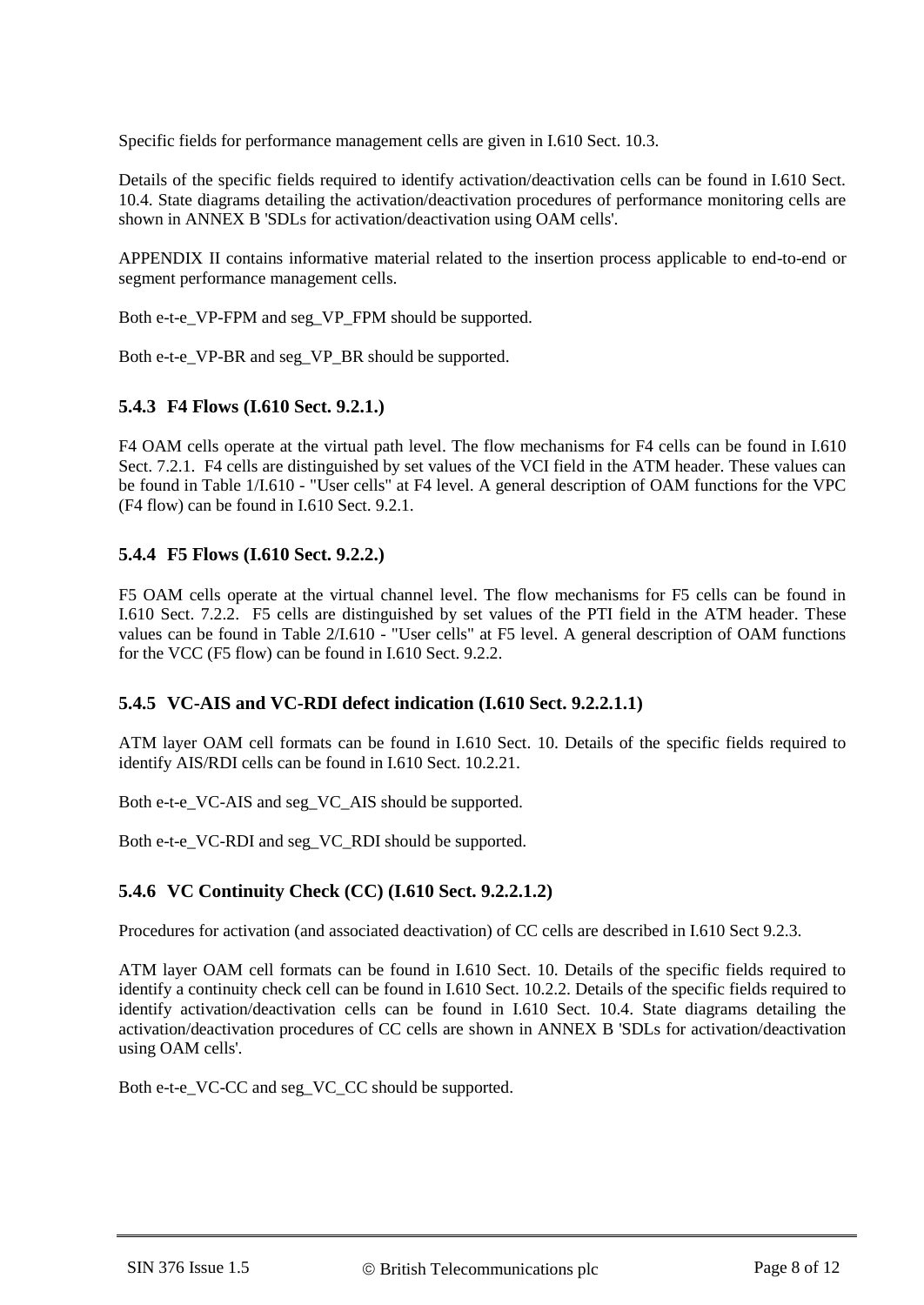Specific fields for performance management cells are given in I.610 Sect. 10.3.

Details of the specific fields required to identify activation/deactivation cells can be found in I.610 Sect. 10.4. State diagrams detailing the activation/deactivation procedures of performance monitoring cells are shown in ANNEX B 'SDLs for activation/deactivation using OAM cells'.

APPENDIX II contains informative material related to the insertion process applicable to end-to-end or segment performance management cells.

Both e-t-e\_VP-FPM and seg\_VP\_FPM should be supported.

Both e-t-e\_VP-BR and seg\_VP\_BR should be supported.

#### **5.4.3 F4 Flows (I.610 Sect. 9.2.1.)**

F4 OAM cells operate at the virtual path level. The flow mechanisms for F4 cells can be found in I.610 Sect. 7.2.1. F4 cells are distinguished by set values of the VCI field in the ATM header. These values can be found in Table 1/I.610 - "User cells" at F4 level. A general description of OAM functions for the VPC (F4 flow) can be found in I.610 Sect. 9.2.1.

#### **5.4.4 F5 Flows (I.610 Sect. 9.2.2.)**

F5 OAM cells operate at the virtual channel level. The flow mechanisms for F5 cells can be found in I.610 Sect. 7.2.2. F5 cells are distinguished by set values of the PTI field in the ATM header. These values can be found in Table 2/I.610 - "User cells" at F5 level. A general description of OAM functions for the VCC (F5 flow) can be found in I.610 Sect. 9.2.2.

#### **5.4.5 VC-AIS and VC-RDI defect indication (I.610 Sect. 9.2.2.1.1)**

ATM layer OAM cell formats can be found in I.610 Sect. 10. Details of the specific fields required to identify AIS/RDI cells can be found in I.610 Sect. 10.2.21.

Both e-t-e\_VC-AIS and seg\_VC\_AIS should be supported.

Both e-t-e\_VC-RDI and seg\_VC\_RDI should be supported.

#### **5.4.6 VC Continuity Check (CC) (I.610 Sect. 9.2.2.1.2)**

Procedures for activation (and associated deactivation) of CC cells are described in I.610 Sect 9.2.3.

ATM layer OAM cell formats can be found in I.610 Sect. 10. Details of the specific fields required to identify a continuity check cell can be found in I.610 Sect. 10.2.2. Details of the specific fields required to identify activation/deactivation cells can be found in I.610 Sect. 10.4. State diagrams detailing the activation/deactivation procedures of CC cells are shown in ANNEX B 'SDLs for activation/deactivation using OAM cells'.

Both e-t-e\_VC-CC and seg\_VC\_CC should be supported.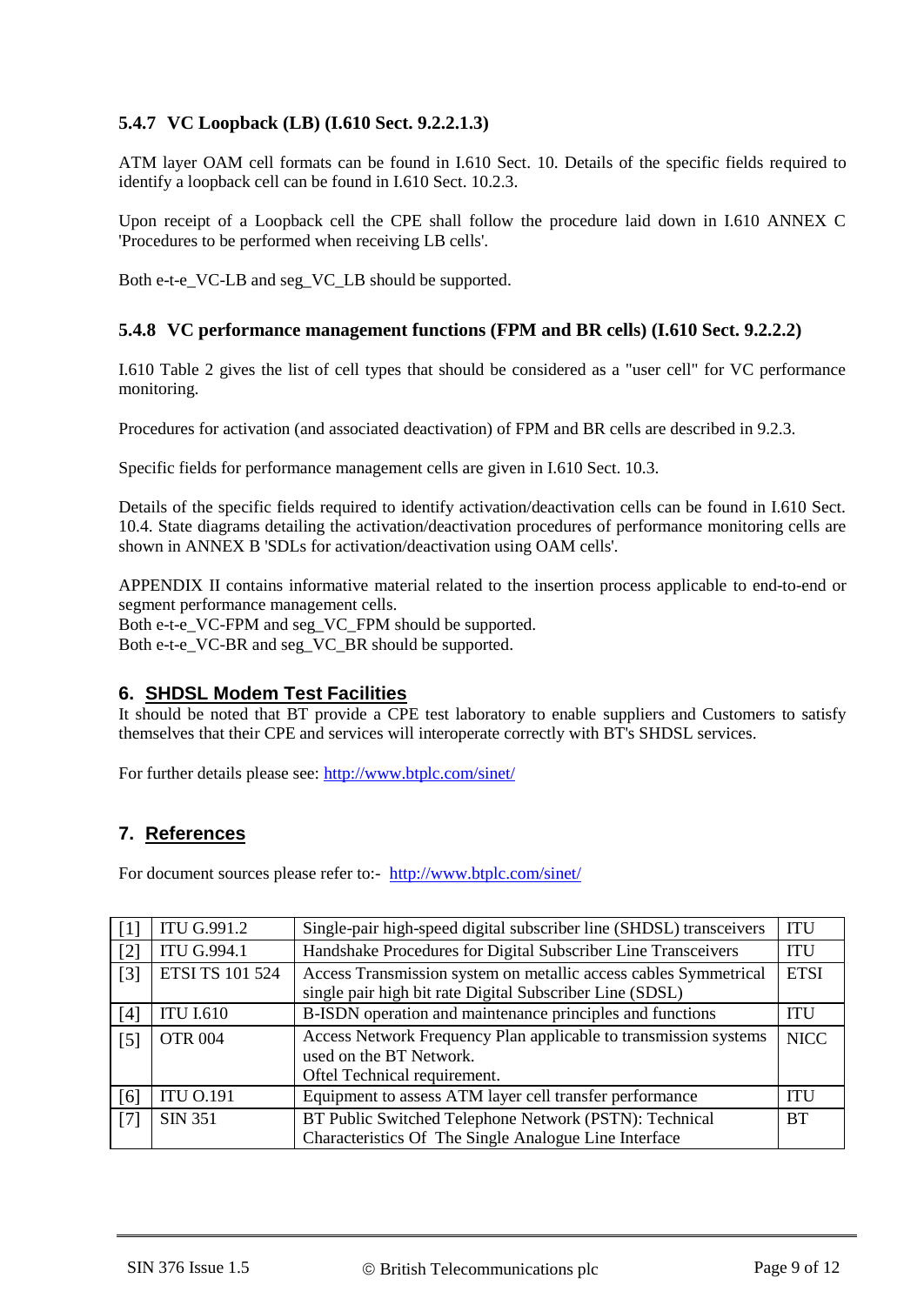# **5.4.7 VC Loopback (LB) (I.610 Sect. 9.2.2.1.3)**

ATM layer OAM cell formats can be found in I.610 Sect. 10. Details of the specific fields required to identify a loopback cell can be found in I.610 Sect. 10.2.3.

Upon receipt of a Loopback cell the CPE shall follow the procedure laid down in I.610 ANNEX C 'Procedures to be performed when receiving LB cells'.

Both e-t-e\_VC-LB and seg\_VC\_LB should be supported.

#### **5.4.8 VC performance management functions (FPM and BR cells) (I.610 Sect. 9.2.2.2)**

I.610 Table 2 gives the list of cell types that should be considered as a "user cell" for VC performance monitoring.

Procedures for activation (and associated deactivation) of FPM and BR cells are described in 9.2.3.

Specific fields for performance management cells are given in I.610 Sect. 10.3.

Details of the specific fields required to identify activation/deactivation cells can be found in I.610 Sect. 10.4. State diagrams detailing the activation/deactivation procedures of performance monitoring cells are shown in ANNEX B 'SDLs for activation/deactivation using OAM cells'.

APPENDIX II contains informative material related to the insertion process applicable to end-to-end or segment performance management cells.

Both e-t-e\_VC-FPM and seg\_VC\_FPM should be supported. Both e-t-e\_VC-BR and seg\_VC\_BR should be supported.

#### **6. SHDSL Modem Test Facilities**

It should be noted that BT provide a CPE test laboratory to enable suppliers and Customers to satisfy themselves that their CPE and services will interoperate correctly with BT's SHDSL services.

For further details please see:<http://www.btplc.com/sinet/>

#### **7. References**

For document sources please refer to:- <http://www.btplc.com/sinet/>

<span id="page-8-6"></span><span id="page-8-5"></span><span id="page-8-4"></span><span id="page-8-3"></span><span id="page-8-2"></span><span id="page-8-1"></span><span id="page-8-0"></span>

| $\lceil 1 \rceil$ | <b>ITU G.991.2</b>     | <b>ITU</b><br>Single-pair high-speed digital subscriber line (SHDSL) transceivers |            |
|-------------------|------------------------|-----------------------------------------------------------------------------------|------------|
| [2]               | <b>ITU G.994.1</b>     | Handshake Procedures for Digital Subscriber Line Transceivers<br><b>ITU</b>       |            |
| [3]               | <b>ETSI TS 101 524</b> | Access Transmission system on metallic access cables Symmetrical                  |            |
|                   |                        | single pair high bit rate Digital Subscriber Line (SDSL)                          |            |
| [4]               | <b>ITU I.610</b>       | B-ISDN operation and maintenance principles and functions                         | <b>ITU</b> |
| $\lceil 5 \rceil$ | <b>OTR 004</b>         | Access Network Frequency Plan applicable to transmission systems<br><b>NICC</b>   |            |
|                   |                        | used on the BT Network.                                                           |            |
|                   |                        | Oftel Technical requirement.                                                      |            |
| [6]               | <b>ITU O.191</b>       | Equipment to assess ATM layer cell transfer performance<br><b>ITU</b>             |            |
| [7]               | <b>SIN 351</b>         | BT Public Switched Telephone Network (PSTN): Technical<br><b>BT</b>               |            |
|                   |                        | Characteristics Of The Single Analogue Line Interface                             |            |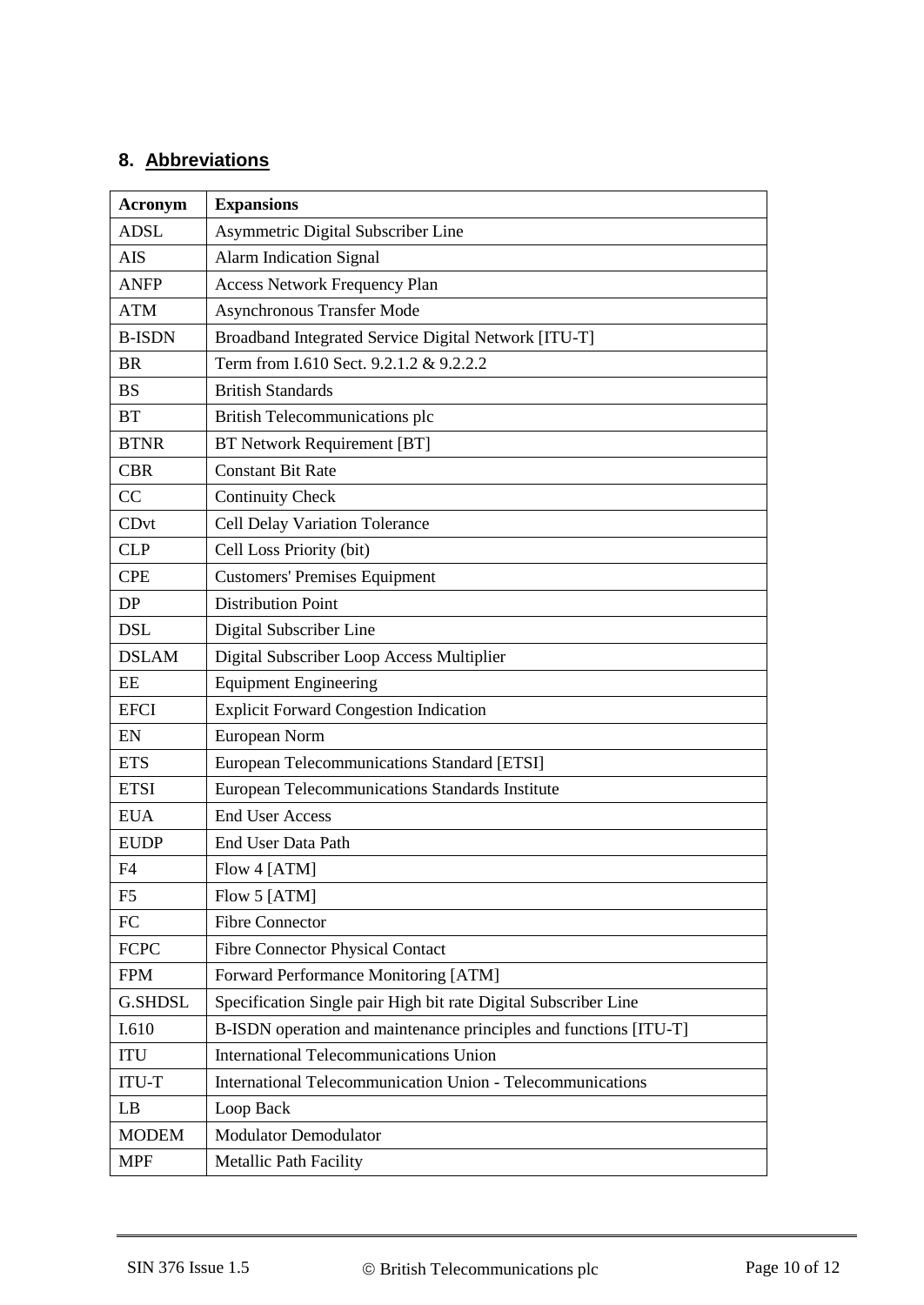# **8. Abbreviations**

| <b>Acronym</b> | <b>Expansions</b>                                                 |  |  |
|----------------|-------------------------------------------------------------------|--|--|
| <b>ADSL</b>    | Asymmetric Digital Subscriber Line                                |  |  |
| <b>AIS</b>     | <b>Alarm Indication Signal</b>                                    |  |  |
| <b>ANFP</b>    | <b>Access Network Frequency Plan</b>                              |  |  |
| <b>ATM</b>     | <b>Asynchronous Transfer Mode</b>                                 |  |  |
| <b>B-ISDN</b>  | Broadband Integrated Service Digital Network [ITU-T]              |  |  |
| <b>BR</b>      | Term from I.610 Sect. 9.2.1.2 & 9.2.2.2                           |  |  |
| <b>BS</b>      | <b>British Standards</b>                                          |  |  |
| <b>BT</b>      | British Telecommunications plc                                    |  |  |
| <b>BTNR</b>    | <b>BT Network Requirement [BT]</b>                                |  |  |
| <b>CBR</b>     | <b>Constant Bit Rate</b>                                          |  |  |
| CC             | <b>Continuity Check</b>                                           |  |  |
| CDvt           | Cell Delay Variation Tolerance                                    |  |  |
| <b>CLP</b>     | Cell Loss Priority (bit)                                          |  |  |
| <b>CPE</b>     | <b>Customers' Premises Equipment</b>                              |  |  |
| DP             | <b>Distribution Point</b>                                         |  |  |
| <b>DSL</b>     | Digital Subscriber Line                                           |  |  |
| <b>DSLAM</b>   | Digital Subscriber Loop Access Multiplier                         |  |  |
| EE             | <b>Equipment Engineering</b>                                      |  |  |
| <b>EFCI</b>    | <b>Explicit Forward Congestion Indication</b>                     |  |  |
| EN             | European Norm                                                     |  |  |
| <b>ETS</b>     | European Telecommunications Standard [ETSI]                       |  |  |
| <b>ETSI</b>    | European Telecommunications Standards Institute                   |  |  |
| <b>EUA</b>     | <b>End User Access</b>                                            |  |  |
| <b>EUDP</b>    | End User Data Path                                                |  |  |
| F4             | Flow 4 [ATM]                                                      |  |  |
| F <sub>5</sub> | Flow 5 [ATM]                                                      |  |  |
| ${\rm FC}$     | <b>Fibre Connector</b>                                            |  |  |
| <b>FCPC</b>    | <b>Fibre Connector Physical Contact</b>                           |  |  |
| <b>FPM</b>     | Forward Performance Monitoring [ATM]                              |  |  |
| <b>G.SHDSL</b> | Specification Single pair High bit rate Digital Subscriber Line   |  |  |
| I.610          | B-ISDN operation and maintenance principles and functions [ITU-T] |  |  |
| <b>ITU</b>     | International Telecommunications Union                            |  |  |
| <b>ITU-T</b>   | International Telecommunication Union - Telecommunications        |  |  |
| LB             | Loop Back                                                         |  |  |
| <b>MODEM</b>   | <b>Modulator Demodulator</b>                                      |  |  |
| <b>MPF</b>     | <b>Metallic Path Facility</b>                                     |  |  |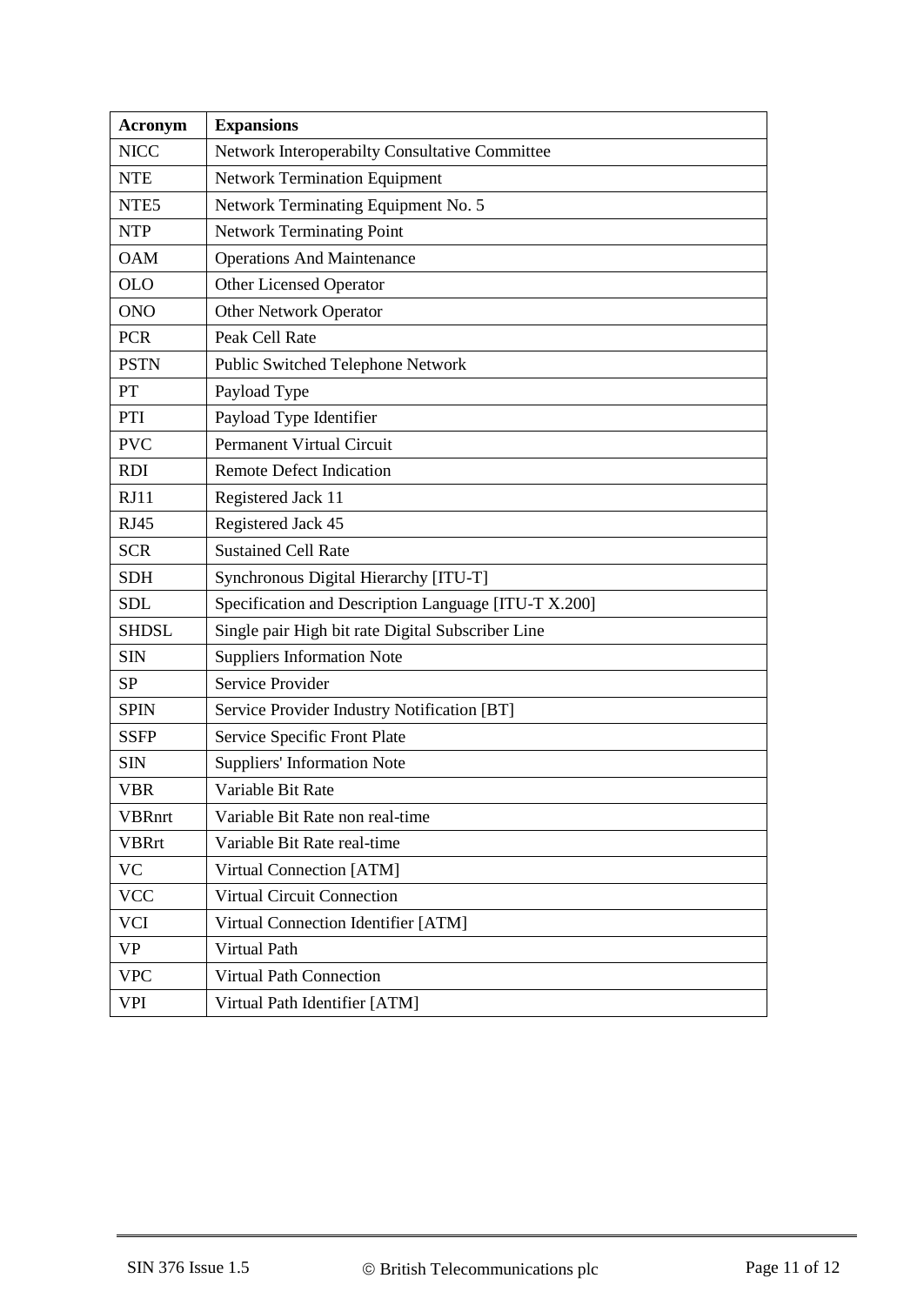| Acronym                                                 | <b>Expansions</b>                                    |  |  |
|---------------------------------------------------------|------------------------------------------------------|--|--|
| <b>NICC</b>                                             | Network Interoperabilty Consultative Committee       |  |  |
| <b>NTE</b>                                              | <b>Network Termination Equipment</b>                 |  |  |
| Network Terminating Equipment No. 5<br>NTE <sub>5</sub> |                                                      |  |  |
| <b>Network Terminating Point</b><br><b>NTP</b>          |                                                      |  |  |
| <b>Operations And Maintenance</b><br><b>OAM</b>         |                                                      |  |  |
| <b>OLO</b><br>Other Licensed Operator                   |                                                      |  |  |
| <b>ONO</b><br><b>Other Network Operator</b>             |                                                      |  |  |
| <b>PCR</b><br>Peak Cell Rate                            |                                                      |  |  |
| <b>PSTN</b>                                             | Public Switched Telephone Network                    |  |  |
| PT                                                      | Payload Type                                         |  |  |
| Payload Type Identifier<br>PTI                          |                                                      |  |  |
| <b>PVC</b><br><b>Permanent Virtual Circuit</b>          |                                                      |  |  |
| <b>RDI</b>                                              | <b>Remote Defect Indication</b>                      |  |  |
| RJ11                                                    | Registered Jack 11                                   |  |  |
| <b>RJ45</b>                                             | Registered Jack 45                                   |  |  |
| <b>SCR</b>                                              | <b>Sustained Cell Rate</b>                           |  |  |
| <b>SDH</b><br>Synchronous Digital Hierarchy [ITU-T]     |                                                      |  |  |
| <b>SDL</b>                                              | Specification and Description Language [ITU-T X.200] |  |  |
| <b>SHDSL</b>                                            | Single pair High bit rate Digital Subscriber Line    |  |  |
| <b>SIN</b>                                              | <b>Suppliers Information Note</b>                    |  |  |
| <b>SP</b>                                               | Service Provider                                     |  |  |
| <b>SPIN</b>                                             | Service Provider Industry Notification [BT]          |  |  |
| <b>SSFP</b>                                             | Service Specific Front Plate                         |  |  |
| <b>SIN</b>                                              | <b>Suppliers' Information Note</b>                   |  |  |
| VBR                                                     | Variable Bit Rate                                    |  |  |
| <b>VBRnrt</b>                                           | Variable Bit Rate non real-time                      |  |  |
| <b>VBRrt</b>                                            | Variable Bit Rate real-time                          |  |  |
| <b>VC</b>                                               | Virtual Connection [ATM]                             |  |  |
| <b>VCC</b>                                              | Virtual Circuit Connection                           |  |  |
| <b>VCI</b>                                              | Virtual Connection Identifier [ATM]                  |  |  |
| <b>VP</b>                                               | Virtual Path                                         |  |  |
| <b>VPC</b>                                              | <b>Virtual Path Connection</b>                       |  |  |
| VPI                                                     | Virtual Path Identifier [ATM]                        |  |  |